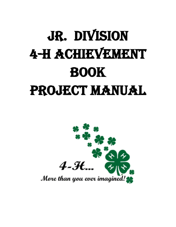# Jr. Division 4-H Achievement Book PROJECT MANUAL

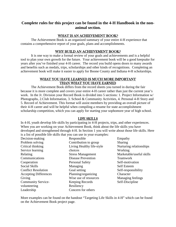## **Complete rules for this project can be found in the 4-H Handbook in the nonanimal section.**

#### WHAT IS AN ACHIEVEMENT BOOK?

The Achievement Book is an organized summary of your entire 4-H experience that contains a comprehensive report of your goals, plans and accomplishments.

#### WHY BUILD AN ACHIEVEMENT BOOK?

It is one way to make a formal review of your goals and achievements and is a helpful tool to plan your own growth for the future. Your achievement book will be a good keepsake for years after you've finished your 4-H career. The record you build opens doors to many awards and benefits such as medals, trips, scholarships and other kinds of recognitions. Completing an achievement book will make it easier to apply for Boone County and Indiana 4-H scholarships.

#### WHAT YOU HAVE LEARNED IS MUCH MORE IMPORTANT THAN WHAT YOU HAVE EARNED

The Achievement Book differs from the record sheets you turned in during the fair because it is more complete and covers your entire 4-H career rather than just the current year's work. In the Jr. Division your Record Book is divided into 5 sections: 1. Project Information w/ Photographs, 2.Club Information, 3. School & Community Activities, 4. Personal 4-H Story and 5. Record of Achievement. This format will assist members by providing an overall picture of their 4-H career and will be helpful when compiling a resume for state accomplishment scholarship competition, which you can apply for starting your sophomore year of high school.

#### LIFE SKILLS

In 4-H, youth develop life skills by participating in 4-H projects, trips, and other experiences. When you are working on your Achievement Book, think about the life skills you have developed and strengthened through 4-H. In Section 1 you will write about those life skills. Here is a list of possible life skills that you can use in your examples:

| Decision-making              | Responsible               | Empathy                  |
|------------------------------|---------------------------|--------------------------|
| Problem solving              | Contribution to group     | <b>Sharing</b>           |
| Critical thinking            | Living Healthy life-style | Nurturing relationships  |
| Service learning             | choices                   | Working                  |
| Relating                     | <b>Stress Management</b>  | Marketable/useful skills |
| Communications               | <b>Disease Prevention</b> | <b>Teamwork</b>          |
| Cooperation                  | <b>Personal Safety</b>    | Self-motivation          |
| Social Skills                | Managing                  | <b>Self Esteem</b>       |
| <b>Conflict Resolution</b>   | Goal setting              | Self-responsibility      |
| <b>Accepting Differences</b> | Planning/organizing       | Character                |
| Giving                       | Wise use of resources     | Managing feelings        |
| <b>Community Service-</b>    | Keeping Records           | Self-Discipline          |
| volunteering                 | Resiliency                |                          |
| Leadership                   | Concern for others        |                          |
|                              |                           |                          |

More examples can be found on the handout "Targeting Life Skills in 4-H" which can be found on the Achievement Book project page.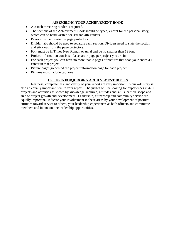#### ASSEMBLING YOUR ACHIEVEMENT BOOK

- A 2 inch three ring binder is required.
- The sections of the Achievement Book should be typed, except for the personal story, which can be hand written for 3rd and 4th graders.
- Pages must be inserted in page protectors.
- Divider tabs should be used to separate each section. Dividers need to state the section and stick out from the page protectors.
- Font must be in Times New Roman or Arial and be no smaller than 12 font
- Project information consists of a separate page per project you are in.
- For each project you can have no more than 3 pages of pictures that span your entire 4-H career in that project.
- Picture pages go behind the project information page for each project.
- Pictures must include captions

#### CRITERIA FOR JUDGING ACHIEVEMENT BOOKS

Neatness, completeness, and clarity of your report are very important. Your 4-H story is also an equally important item in your report. The judges will be looking for experiences in 4-H projects and activities as shown by knowledge acquired, attitudes and skills learned, scope and size of project growth and development. Leadership, citizenship and community service are equally important. Indicate your involvement in these areas by your development of positive attitudes toward service to others, your leadership experiences as both officers and committee members and in one on one leadership opportunities.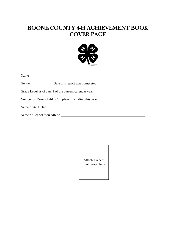# BOONE COUNTY 4-H ACHIEVEMENT BOOK COVER PAGE



|                                                                                   | Name |  |
|-----------------------------------------------------------------------------------|------|--|
|                                                                                   |      |  |
| Grade Level as of Jan. 1 of the current calendar year ___________________________ |      |  |
| Number of Years of 4-H Completed including this year                              |      |  |
|                                                                                   |      |  |
| Name of School You Attend                                                         |      |  |

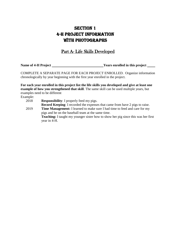# SECTION 1 4-H PROJECT INFORMATION WITH PHOTOGRAPHS

## Part A- Life Skills Developed

**Name of 4-H Project Name of 4-H Project Name of 4-H Project Name of 4-H Project Name of 4-H Project Name of 4-H Project Name of 4-H Project Name of 4-H Project Name of 2-H Project Name of 2-H Project N** 

COMPLETE A SEPARATE PAGE FOR EACH PROJECT ENROLLED. Organize information chronologically by year beginning with the first year enrolled in the project.

**For each year enrolled in this project list the life skills you developed and give at least one example of how you strengthened that skill**. The same skill can be used multiple years, but examples need to be different

Example:

2018 **Responsibility**: I properly feed my pigs. **Record Keeping**: I recorded the expenses that came from have 2 pigs to raise. 2019 **Time Management:** I learned to make sure I had time to feed and care for my pigs and be on the baseball team at the same time. **Teaching:** I taught my younger sister how to show her pig since this was her first year in 4-H.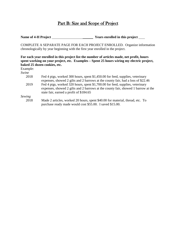## Part B: Size and Scope of Project

**Name of 4-H Project Name of 4-H Project Name of 4-H Project Name of 4-H Project** 

COMPLETE A SEPARATE PAGE FOR EACH PROJECT ENROLLED. Organize information chronologically by year beginning with the first year enrolled in the project.

**For each year enrolled in this project list the number of articles made, net profit, hours spent working on your project, etc. Examples – Spent 25 hours wiring my electric project, baked 25 dozen cookies, etc.**

Example:

*Swine*

- 2018 Fed 4 pigs, worked 300 hours, spent \$1,450.00 for feed, supplies, veterinary expenses, showed 2 gilts and 2 barrows at the county fair, had a loss of \$22.46
- 2019 Fed 4 pigs, worked 320 hours, spent \$1,700.00 for feed, supplies, veterinary expenses, showed 2 gilts and 2 barrows at the county fair, showed 1 barrow at the state fair, earned a profit of \$184.65

*Sewing*

2018 Made 2 articles, worked 20 hours, spent \$40.00 for material, thread, etc. To purchase ready made would cost \$55.00. I saved \$15.00.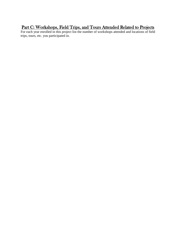# Part C: Workshops, Field Trips, and Tours Attended Related to Projects

For each year enrolled in this project list the number of workshops attended and locations of field trips, tours, etc. you participated in.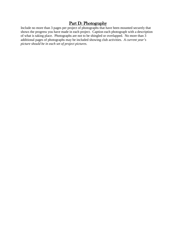## Part D: Photography

Include no more than 3 pages per project of photographs that have been mounted securely that shows the progress you have made in each project. Caption each photograph with a description of what is taking place. Photographs are not to be shingled or overlapped. No more than 3 additional pages of photographs may be included showing club activities. *A current year's picture should be in each set of project pictures.*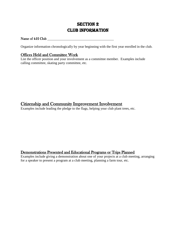## **SECTION 2** Club Information

#### Name of 4-H Club

Organize information chronologically by year beginning with the first year enrolled in the club.

## Offices Held and Committee Work

List the officer position and your involvement as a committee member. Examples include calling committee, skating party committee, etc.

## Citizenship and Community Improvement Involvement

Examples include leading the pledge to the flags, helping your club plant trees, etc.

### Demonstrations Presented and Educational Programs or Trips Planned

Examples include giving a demonstration about one of your projects at a club meeting, arranging for a speaker to present a program at a club meeting, planning a farm tour, etc.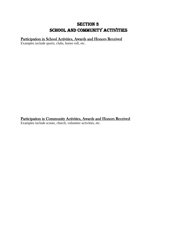## **SECTION 3** School and Community Activities

## Participation in School Activities, Awards and Honors Received

Examples include sports, clubs, honor roll, etc.

Participation in Community Activities, Awards and Honors Received Examples include scouts, church, volunteer activities, etc.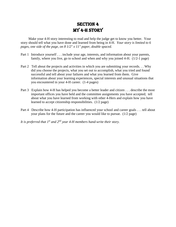# **SECTION 4** My 4-H Story

Make your 4-H story interesting to read and help the judge get to know you better. Your story should tell what you have done and learned from being in 4-H. *Your story is limited to 6 pages, one side of the page, on 8 1/2" x 11" paper, double spaced*.

- Part 1 Introduce yourself . . . include your age, interests, and information about your parents, family, where you live, go to school and when and why you joined 4-H. (1/2-1 page)
- Part 2 Tell about the projects and activities in which you are submitting your records. . . Why did you choose the projects, what you set out to accomplish, what you tried and found successful and tell about your failures and what you learned from them. Give information about your learning experiences, special interests and unusual situations that you encountered in your 4-H career. (1-4 pages)
- Part 3 Explain how 4-H has helped you become a better leader and citizen . . . describe the most important offices you have held and the committee assignments you have accepted; tell about what you have learned from working with other 4-Hers and explain how you have learned to accept citizenship responsibilities. (1/2 page)
- Part 4 Describe how 4-H participation has influenced your school and career goals . . . tell about your plans for the future and the career you would like to pursue. (1/2 page)

*It is preferred that 1st and 2nd year 4-H members hand-write their story.*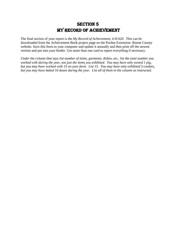## **SECTION 5** My Record of Achievement

The final section of your report is the *My Record of Achievement, 4-H 620*. This can be downloaded from the Achievement Book project page on the Purdue Extension- Boone County website. Save this form to your computer and update it annually and then print off the newest version and put into your binder. Use more than one card to report everything if necessary.

*Under the column that says list number of items, garments, dishes, etc., list the total number you worked with during the year, not just the items you exhibited. You may have only owned 1 pig, but you may have worked with 15 on your farm. List 15. You may have only exhibited 3 cookies, but you may have baked 10 dozen during the year. List all of them in the column as instructed.*